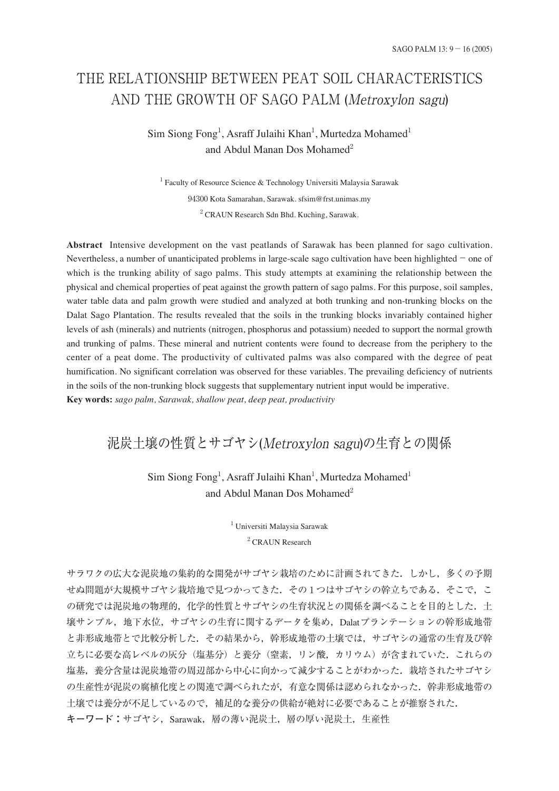# THE RELATIONSHIP BETWEEN PEAT SOIL CHARACTERISTICS AND THE GROWTH OF SAGO PALM (Metroxylon sagu)

## Sim Siong Fong<sup>1</sup>, Asraff Julaihi Khan<sup>1</sup>, Murtedza Mohamed<sup>1</sup> and Abdul Manan Dos Mohamed<sup>2</sup>

<sup>1</sup> Faculty of Resource Science & Technology Universiti Malaysia Sarawak 94300 Kota Samarahan, Sarawak. sfsim@frst.unimas.my <sup>2</sup> CRAUN Research Sdn Bhd. Kuching, Sarawak.

**Abstract** Intensive development on the vast peatlands of Sarawak has been planned for sago cultivation. Nevertheless, a number of unanticipated problems in large-scale sago cultivation have been highlighted−one of which is the trunking ability of sago palms. This study attempts at examining the relationship between the physical and chemical properties of peat against the growth pattern of sago palms. For this purpose, soil samples, water table data and palm growth were studied and analyzed at both trunking and non-trunking blocks on the Dalat Sago Plantation. The results revealed that the soils in the trunking blocks invariably contained higher levels of ash (minerals) and nutrients (nitrogen, phosphorus and potassium) needed to support the normal growth and trunking of palms. These mineral and nutrient contents were found to decrease from the periphery to the center of a peat dome. The productivity of cultivated palms was also compared with the degree of peat humification. No significant correlation was observed for these variables. The prevailing deficiency of nutrients in the soils of the non-trunking block suggests that supplementary nutrient input would be imperative. **Key words:** *sago palm, Sarawak, shallow peat, deep peat, productivity*

## 泥炭土壌の性質とサゴヤシ(Metroxylon sagu)の生育との関係

## Sim Siong Fong<sup>1</sup>, Asraff Julaihi Khan<sup>1</sup>, Murtedza Mohamed<sup>1</sup> and Abdul Manan Dos Mohamed<sup>2</sup>

<sup>1</sup> Universiti Malaysia Sarawak <sup>2</sup> CRAUN Research

サラワクの広大な泥炭地の集約的な開発がサゴヤシ栽培のために計画されてきた.しかし,多くの予期 せぬ問題が大規模サゴヤシ栽培地で見つかってきた. その1つはサゴヤシの幹立ちである. そこで, こ の研究では泥炭地の物理的,化学的性質とサゴヤシの生育状況との関係を調べることを目的とした。土 壌サンプル,地下水位,サゴヤシの生育に関するデータを集め,Dalatプランテーションの幹形成地帯 と非形成地帯とで比較分析した.その結果から,幹形成地帯の土壌では,サゴヤシの通常の生育及び幹 立ちに必要な高レベルの灰分(塩基分)と養分(窒素,リン酸,カリウム)が含まれていた.これらの 塩基、養分含量は泥炭地帯の周辺部から中心に向かって減少することがわかった.栽培されたサゴヤシ の生産性が泥炭の腐植化度との関連で調べられたが、有意な関係は認められなかった。幹非形成地帯の 土壌では養分が不足しているので,補足的な養分の供給が絶対に必要であることが推察された. **キーワード:**サゴヤシ,Sarawak,層の薄い泥炭土,層の厚い泥炭土,生産性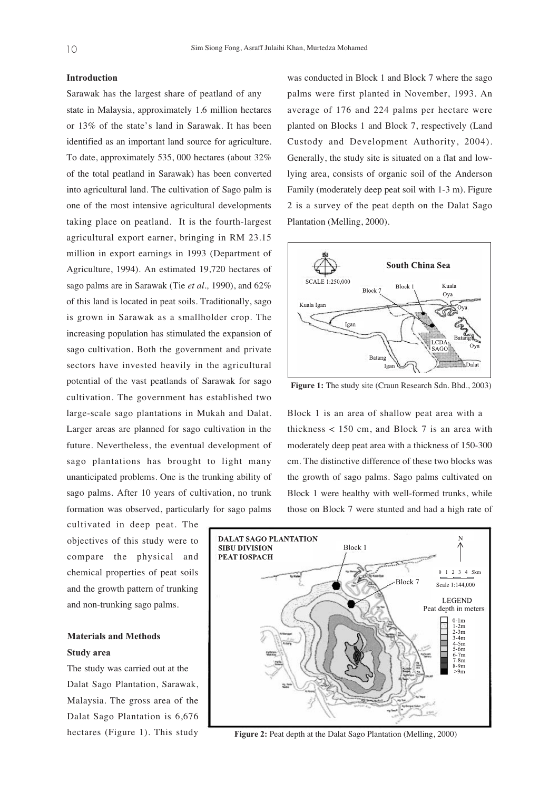#### **Introduction**

Sarawak has the largest share of peatland of any state in Malaysia, approximately 1.6 million hectares or 13% of the state's land in Sarawak. It has been identified as an important land source for agriculture. To date, approximately 535, 000 hectares (about 32% of the total peatland in Sarawak) has been converted into agricultural land. The cultivation of Sago palm is one of the most intensive agricultural developments taking place on peatland. It is the fourth-largest agricultural export earner, bringing in RM 23.15 million in export earnings in 1993 (Department of Agriculture, 1994). An estimated 19,720 hectares of sago palms are in Sarawak (Tie *et al.,* 1990), and 62% of this land is located in peat soils. Traditionally, sago is grown in Sarawak as a smallholder crop. The increasing population has stimulated the expansion of sago cultivation. Both the government and private sectors have invested heavily in the agricultural potential of the vast peatlands of Sarawak for sago cultivation. The government has established two large-scale sago plantations in Mukah and Dalat. Larger areas are planned for sago cultivation in the future. Nevertheless, the eventual development of sago plantations has brought to light many unanticipated problems. One is the trunking ability of sago palms. After 10 years of cultivation, no trunk formation was observed, particularly for sago palms

cultivated in deep peat. The objectives of this study were to compare the physical and chemical properties of peat soils and the growth pattern of trunking and non-trunking sago palms.

### **Materials and Methods Study area**

The study was carried out at the Dalat Sago Plantation, Sarawak, Malaysia. The gross area of the Dalat Sago Plantation is 6,676 hectares (Figure 1). This study

was conducted in Block 1 and Block 7 where the sago palms were first planted in November, 1993. An average of 176 and 224 palms per hectare were planted on Blocks 1 and Block 7, respectively (Land Custody and Development Authority, 2004). Generally, the study site is situated on a flat and lowlying area, consists of organic soil of the Anderson Family (moderately deep peat soil with 1-3 m). Figure 2 is a survey of the peat depth on the Dalat Sago Plantation (Melling, 2000).



**Figure 1:** The study site (Craun Research Sdn. Bhd., 2003)

Block 1 is an area of shallow peat area with a thickness  $< 150$  cm, and Block 7 is an area with moderately deep peat area with a thickness of 150-300 cm. The distinctive difference of these two blocks was the growth of sago palms. Sago palms cultivated on Block 1 were healthy with well-formed trunks, while those on Block 7 were stunted and had a high rate of



**Figure 2:** Peat depth at the Dalat Sago Plantation (Melling, 2000)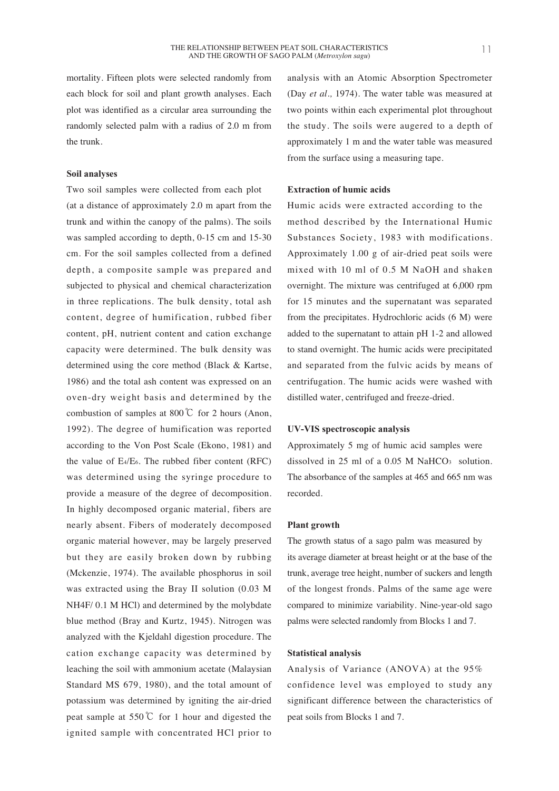#### **Soil analyses**

Two soil samples were collected from each plot (at a distance of approximately 2.0 m apart from the trunk and within the canopy of the palms). The soils was sampled according to depth, 0-15 cm and 15-30 cm. For the soil samples collected from a defined depth, a composite sample was prepared and subjected to physical and chemical characterization in three replications. The bulk density, total ash content, degree of humification, rubbed fiber content, pH, nutrient content and cation exchange capacity were determined. The bulk density was determined using the core method (Black & Kartse, 1986) and the total ash content was expressed on an oven-dry weight basis and determined by the combustion of samples at 800℃ for 2 hours (Anon, 1992). The degree of humification was reported according to the Von Post Scale (Ekono, 1981) and the value of E4/E6. The rubbed fiber content (RFC) was determined using the syringe procedure to provide a measure of the degree of decomposition. In highly decomposed organic material, fibers are nearly absent. Fibers of moderately decomposed organic material however, may be largely preserved but they are easily broken down by rubbing (Mckenzie, 1974). The available phosphorus in soil was extracted using the Bray II solution (0.03 M NH4F/ 0.1 M HCl) and determined by the molybdate blue method (Bray and Kurtz, 1945). Nitrogen was analyzed with the Kjeldahl digestion procedure. The cation exchange capacity was determined by leaching the soil with ammonium acetate (Malaysian Standard MS 679, 1980), and the total amount of potassium was determined by igniting the air-dried peat sample at 550℃ for 1 hour and digested the ignited sample with concentrated HCl prior to

analysis with an Atomic Absorption Spectrometer (Day *et al.,* 1974). The water table was measured at two points within each experimental plot throughout the study. The soils were augered to a depth of approximately 1 m and the water table was measured from the surface using a measuring tape.

#### **Extraction of humic acids**

Humic acids were extracted according to the method described by the International Humic Substances Society, 1983 with modifications. Approximately 1.00 g of air-dried peat soils were mixed with 10 ml of 0.5 M NaOH and shaken overnight. The mixture was centrifuged at 6,000 rpm for 15 minutes and the supernatant was separated from the precipitates. Hydrochloric acids (6 M) were added to the supernatant to attain pH 1-2 and allowed to stand overnight. The humic acids were precipitated and separated from the fulvic acids by means of centrifugation. The humic acids were washed with distilled water, centrifuged and freeze-dried.

#### **UV-VIS spectroscopic analysis**

Approximately 5 mg of humic acid samples were dissolved in 25 ml of a 0.05 M NaHCO<sub>3</sub> solution. The absorbance of the samples at 465 and 665 nm was recorded.

#### **Plant growth**

The growth status of a sago palm was measured by its average diameter at breast height or at the base of the trunk, average tree height, number of suckers and length of the longest fronds. Palms of the same age were compared to minimize variability. Nine-year-old sago palms were selected randomly from Blocks 1 and 7.

#### **Statistical analysis**

Analysis of Variance (ANOVA) at the 95% confidence level was employed to study any significant difference between the characteristics of peat soils from Blocks 1 and 7.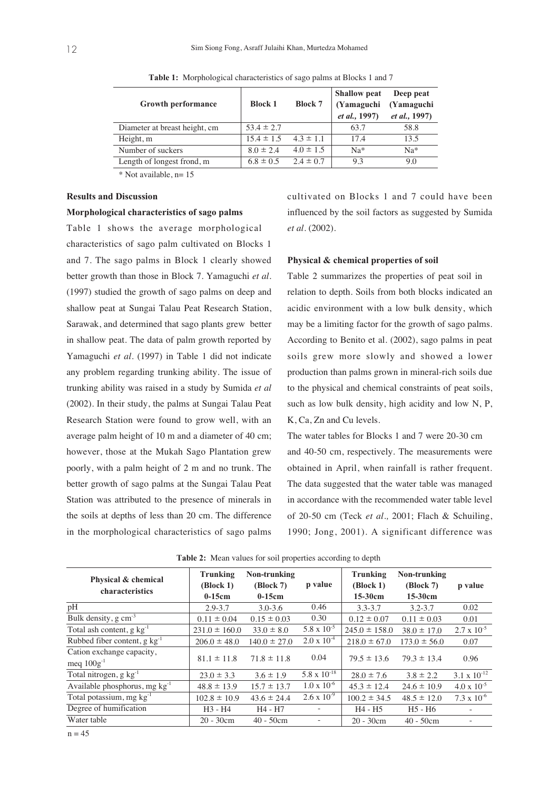| <b>Growth performance</b>     | <b>Block 1</b> | <b>Block 7</b> | <b>Shallow</b> peat<br>(Yamaguchi)<br><i>et al.</i> , 1997) | Deep peat<br>(Yamaguchi<br><i>et al.</i> , 1997) |
|-------------------------------|----------------|----------------|-------------------------------------------------------------|--------------------------------------------------|
| Diameter at breast height, cm | $53.4 \pm 2.7$ |                | 63.7                                                        | 58.8                                             |
| Height, m                     | $15.4 \pm 1.5$ | $4.3 \pm 1.1$  | 17.4                                                        | 13.5                                             |
| Number of suckers             | $8.0 \pm 2.4$  | $4.0 \pm 1.5$  | $Na*$                                                       | $Na*$                                            |
| Length of longest frond, m    | $6.8 \pm 0.5$  | $2.4 \pm 0.7$  | 9.3                                                         | 9.0                                              |

**Table 1:** Morphological characteristics of sago palms at Blocks 1 and 7

 $*$  Not available,  $n=15$ 

#### **Results and Discussion**

#### **Morphological characteristics of sago palms**

Table 1 shows the average morphological characteristics of sago palm cultivated on Blocks 1 and 7. The sago palms in Block 1 clearly showed better growth than those in Block 7. Yamaguchi *et al.* (1997) studied the growth of sago palms on deep and shallow peat at Sungai Talau Peat Research Station, Sarawak, and determined that sago plants grew better in shallow peat. The data of palm growth reported by Yamaguchi *et al.* (1997) in Table 1 did not indicate any problem regarding trunking ability. The issue of trunking ability was raised in a study by Sumida *et al* (2002). In their study, the palms at Sungai Talau Peat Research Station were found to grow well, with an average palm height of 10 m and a diameter of 40 cm; however, those at the Mukah Sago Plantation grew poorly, with a palm height of 2 m and no trunk. The better growth of sago palms at the Sungai Talau Peat Station was attributed to the presence of minerals in the soils at depths of less than 20 cm. The difference in the morphological characteristics of sago palms cultivated on Blocks 1 and 7 could have been influenced by the soil factors as suggested by Sumida *et al.* (2002).

#### **Physical & chemical properties of soil**

Table 2 summarizes the properties of peat soil in relation to depth. Soils from both blocks indicated an acidic environment with a low bulk density, which may be a limiting factor for the growth of sago palms. According to Benito et al. (2002), sago palms in peat soils grew more slowly and showed a lower production than palms grown in mineral-rich soils due to the physical and chemical constraints of peat soils, such as low bulk density, high acidity and low N, P, K, Ca, Zn and Cu levels.

The water tables for Blocks 1 and 7 were 20-30 cm and 40-50 cm, respectively. The measurements were obtained in April, when rainfall is rather frequent. The data suggested that the water table was managed in accordance with the recommended water table level of 20-50 cm (Teck *et al.,* 2001; Flach & Schuiling, 1990; Jong, 2001). A significant difference was

| Physical & chemical<br>characteristics       | <b>Trunking</b><br>(Block 1) | Non-trunking<br>(Block 7) | p value                  | <b>Trunking</b><br>(Block 1) | Non-trunking<br>(Block 7)       | p value               |
|----------------------------------------------|------------------------------|---------------------------|--------------------------|------------------------------|---------------------------------|-----------------------|
|                                              | $0-15cm$                     | $0-15cm$                  |                          | $15-30cm$                    | 15-30cm                         |                       |
| pH                                           | $2.9 - 3.7$                  | $3.0 - 3.6$               | 0.46                     | $3.3 - 3.7$                  | $3.2 - 3.7$                     | 0.02                  |
| Bulk density, $g \text{ cm}^{-3}$            | $0.11 \pm 0.04$              | $0.15 \pm 0.03$           | 0.30                     | $0.12 \pm 0.07$              | $0.11 \pm 0.03$                 | 0.01                  |
| Total ash content, $g \text{ kg}^{-1}$       | $231.0 \pm 160.0$            | $33.0 \pm 8.0$            | $5.8 \times 10^{-5}$     | $245.0 \pm 158.0$            | $38.0 \pm 17.0$                 | $2.7 \times 10^{-5}$  |
| Rubbed fiber content, $g \text{ kg}^{-1}$    | $206.0 \pm 48.0$             | $140.0 \pm 27.0$          | $2.0 \times 10^{-4}$     | $218.0 \pm 67.0$             | $173.0 \pm 56.0$                | 0.07                  |
| Cation exchange capacity,<br>meq $100g^{-1}$ | $81.1 \pm 11.8$              | $71.8 \pm 11.8$           | 0.04                     | $79.5 \pm 13.6$              | $79.3 \pm 13.4$                 | 0.96                  |
| Total nitrogen, g $kg^{-1}$                  | $23.0 \pm 3.3$               | $3.6 \pm 1.9$             | $5.8 \times 10^{-18}$    | $28.0 \pm 7.6$               | $3.8 \pm 2.2$                   | $3.1 \times 10^{-12}$ |
| Available phosphorus, mg $kg^{-1}$           | $48.8 \pm 13.9$              | $15.7 \pm 13.7$           | $1.0 \times 10^{-6}$     | $45.3 \pm 12.4$              | $24.6 \pm 10.9$                 | $4.0 \times 10^{-5}$  |
| Total potassium, mg $kg^{-1}$                | $102.8 \pm 10.9$             | $43.6 \pm 24.4$           | $2.6 \times 10^{-9}$     | $100.2 \pm 34.5$             | $48.5 \pm 12.0$                 | $7.3 \times 10^{-6}$  |
| Degree of humification                       | $H3 - H4$                    | H4 - H7                   | $\overline{\phantom{a}}$ | $H4 - H5$                    | H <sub>5</sub> - H <sub>6</sub> |                       |
| Water table                                  | $20 - 30$ cm                 | $40 - 50$ cm              |                          | $20 - 30$ cm                 | $40 - 50$ cm                    |                       |

**Table 2:** Mean values for soil properties according to depth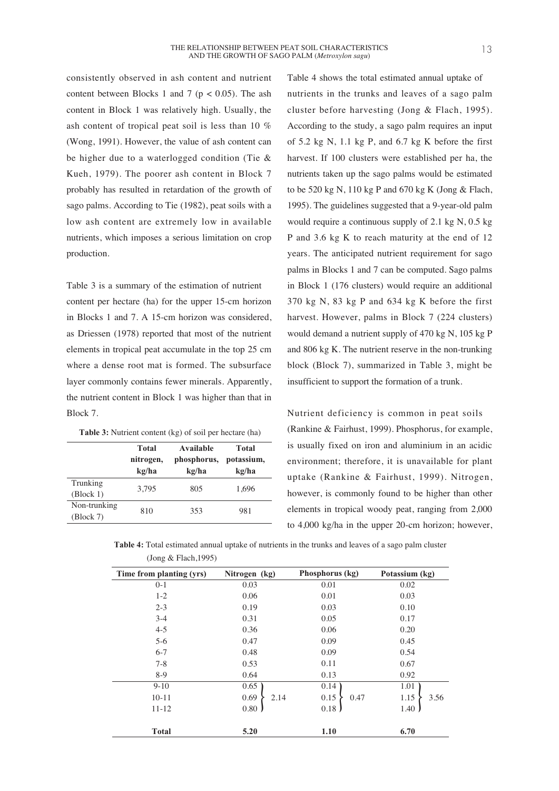consistently observed in ash content and nutrient content between Blocks 1 and 7 ( $p < 0.05$ ). The ash content in Block 1 was relatively high. Usually, the ash content of tropical peat soil is less than 10 % (Wong, 1991). However, the value of ash content can be higher due to a waterlogged condition (Tie & Kueh, 1979). The poorer ash content in Block 7 probably has resulted in retardation of the growth of sago palms. According to Tie (1982), peat soils with a low ash content are extremely low in available nutrients, which imposes a serious limitation on crop production.

Table 3 is a summary of the estimation of nutrient content per hectare (ha) for the upper 15-cm horizon in Blocks 1 and 7. A 15-cm horizon was considered, as Driessen (1978) reported that most of the nutrient elements in tropical peat accumulate in the top 25 cm where a dense root mat is formed. The subsurface layer commonly contains fewer minerals. Apparently, the nutrient content in Block 1 was higher than that in Block 7.

| Table 3: Nutrient content (kg) of soil per hectare (ha) |  |  |
|---------------------------------------------------------|--|--|
|---------------------------------------------------------|--|--|

|                                  | <b>Total</b> | Available   | <b>Total</b> |  |
|----------------------------------|--------------|-------------|--------------|--|
|                                  | nitrogen,    | phosphorus, | potassium,   |  |
|                                  | kg/ha        | kg/ha       | kg/ha        |  |
| Trunking                         | 3,795        | 805         | 1.696        |  |
| $\left( \text{Block } 1 \right)$ |              |             |              |  |
| Non-trunking                     | 810          | 353         | 981          |  |
| $\left( \text{Block } 7 \right)$ |              |             |              |  |

Table 4 shows the total estimated annual uptake of nutrients in the trunks and leaves of a sago palm cluster before harvesting (Jong & Flach, 1995). According to the study, a sago palm requires an input of 5.2 kg N, 1.1 kg P, and 6.7 kg K before the first harvest. If 100 clusters were established per ha, the nutrients taken up the sago palms would be estimated to be 520 kg N, 110 kg P and 670 kg K (Jong & Flach, 1995). The guidelines suggested that a 9-year-old palm would require a continuous supply of 2.1 kg N, 0.5 kg P and 3.6 kg K to reach maturity at the end of 12 years. The anticipated nutrient requirement for sago palms in Blocks 1 and 7 can be computed. Sago palms in Block 1 (176 clusters) would require an additional 370 kg N, 83 kg P and 634 kg K before the first harvest. However, palms in Block 7 (224 clusters) would demand a nutrient supply of 470 kg N, 105 kg P and 806 kg K. The nutrient reserve in the non-trunking block (Block 7), summarized in Table 3, might be insufficient to support the formation of a trunk.

Nutrient deficiency is common in peat soils (Rankine & Fairhust, 1999). Phosphorus, for example, is usually fixed on iron and aluminium in an acidic environment; therefore, it is unavailable for plant uptake (Rankine & Fairhust, 1999). Nitrogen, however, is commonly found to be higher than other elements in tropical woody peat, ranging from 2,000 to 4,000 kg/ha in the upper 20-cm horizon; however,

|                         | Table 4: Total estimated annual uptake of nutrients in the trunks and leaves of a sago palm cluster |
|-------------------------|-----------------------------------------------------------------------------------------------------|
| (Jong & Flach, $1995$ ) |                                                                                                     |

| $\frac{1}{2}$            |               |                 |                |
|--------------------------|---------------|-----------------|----------------|
| Time from planting (yrs) | Nitrogen (kg) | Phosphorus (kg) | Potassium (kg) |
| $0-1$                    | 0.03          | 0.01            | 0.02           |
| $1 - 2$                  | 0.06          | 0.01            | 0.03           |
| $2 - 3$                  | 0.19          | 0.03            | 0.10           |
| $3 - 4$                  | 0.31          | 0.05            | 0.17           |
| $4 - 5$                  | 0.36          | 0.06            | 0.20           |
| $5 - 6$                  | 0.47          | 0.09            | 0.45           |
| $6 - 7$                  | 0.48          | 0.09            | 0.54           |
| $7 - 8$                  | 0.53          | 0.11            | 0.67           |
| $8-9$                    | 0.64          | 0.13            | 0.92           |
| $9 - 10$                 | 0.65          | 0.14            | 1.01           |
| $10 - 11$                | 0.69<br>2.14  | 0.15<br>0.47    | 1.15<br>3.56   |
| $11 - 12$                | 0.80          | 0.18            | 1.40           |
| <b>Total</b>             | 5.20          | 1.10            | 6.70           |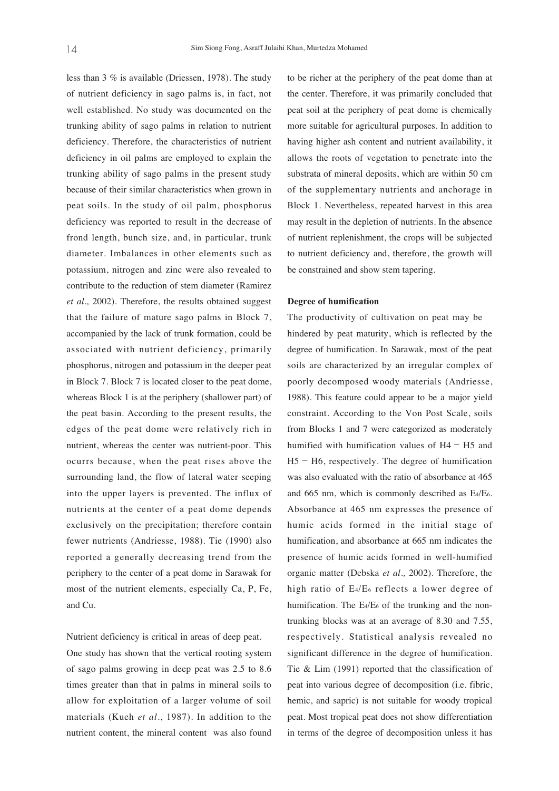less than 3 % is available (Driessen, 1978). The study of nutrient deficiency in sago palms is, in fact, not well established. No study was documented on the trunking ability of sago palms in relation to nutrient deficiency. Therefore, the characteristics of nutrient deficiency in oil palms are employed to explain the trunking ability of sago palms in the present study because of their similar characteristics when grown in peat soils. In the study of oil palm, phosphorus deficiency was reported to result in the decrease of frond length, bunch size, and, in particular, trunk diameter. Imbalances in other elements such as potassium, nitrogen and zinc were also revealed to contribute to the reduction of stem diameter (Ramirez *et al.,* 2002). Therefore, the results obtained suggest that the failure of mature sago palms in Block 7, accompanied by the lack of trunk formation, could be associated with nutrient deficiency, primarily phosphorus, nitrogen and potassium in the deeper peat in Block 7. Block 7 is located closer to the peat dome, whereas Block 1 is at the periphery (shallower part) of the peat basin. According to the present results, the edges of the peat dome were relatively rich in nutrient, whereas the center was nutrient-poor. This ocurrs because, when the peat rises above the surrounding land, the flow of lateral water seeping into the upper layers is prevented. The influx of nutrients at the center of a peat dome depends exclusively on the precipitation; therefore contain fewer nutrients (Andriesse, 1988). Tie (1990) also reported a generally decreasing trend from the periphery to the center of a peat dome in Sarawak for most of the nutrient elements, especially Ca, P, Fe, and Cu.

Nutrient deficiency is critical in areas of deep peat.

One study has shown that the vertical rooting system of sago palms growing in deep peat was 2.5 to 8.6 times greater than that in palms in mineral soils to allow for exploitation of a larger volume of soil materials (Kueh *et al*., 1987). In addition to the nutrient content, the mineral content was also found to be richer at the periphery of the peat dome than at the center. Therefore, it was primarily concluded that peat soil at the periphery of peat dome is chemically more suitable for agricultural purposes. In addition to having higher ash content and nutrient availability, it allows the roots of vegetation to penetrate into the substrata of mineral deposits, which are within 50 cm of the supplementary nutrients and anchorage in Block 1. Nevertheless, repeated harvest in this area may result in the depletion of nutrients. In the absence of nutrient replenishment, the crops will be subjected to nutrient deficiency and, therefore, the growth will be constrained and show stem tapering.

#### **Degree of humification**

The productivity of cultivation on peat may be hindered by peat maturity, which is reflected by the degree of humification. In Sarawak, most of the peat soils are characterized by an irregular complex of poorly decomposed woody materials (Andriesse, 1988). This feature could appear to be a major yield constraint. According to the Von Post Scale, soils from Blocks 1 and 7 were categorized as moderately humified with humification values of H4− H5 and H5− H6, respectively. The degree of humification was also evaluated with the ratio of absorbance at 465 and 665 nm, which is commonly described as E4/E6. Absorbance at 465 nm expresses the presence of humic acids formed in the initial stage of humification, and absorbance at 665 nm indicates the presence of humic acids formed in well-humified organic matter (Debska *et al.,* 2002). Therefore, the high ratio of E4/E6 reflects a lower degree of humification. The E4/E6 of the trunking and the nontrunking blocks was at an average of 8.30 and 7.55, respectively. Statistical analysis revealed no significant difference in the degree of humification. Tie & Lim (1991) reported that the classification of peat into various degree of decomposition (i.e. fibric, hemic, and sapric) is not suitable for woody tropical peat. Most tropical peat does not show differentiation in terms of the degree of decomposition unless it has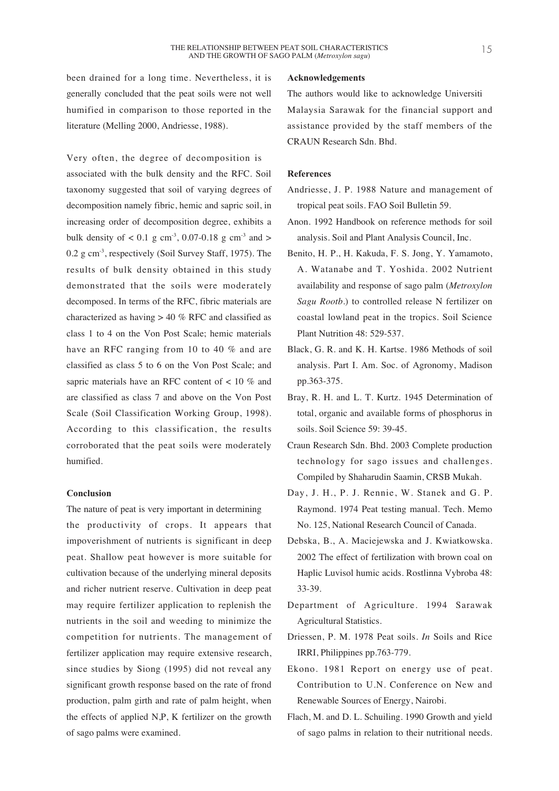been drained for a long time. Nevertheless, it is generally concluded that the peat soils were not well humified in comparison to those reported in the literature (Melling 2000, Andriesse, 1988).

Very often, the degree of decomposition is associated with the bulk density and the RFC. Soil taxonomy suggested that soil of varying degrees of decomposition namely fibric, hemic and sapric soil, in increasing order of decomposition degree, exhibits a bulk density of  $< 0.1$  g cm<sup>-3</sup>, 0.07-0.18 g cm<sup>-3</sup> and  $>$ 0.2 g cm-3, respectively (Soil Survey Staff, 1975). The results of bulk density obtained in this study demonstrated that the soils were moderately decomposed. In terms of the RFC, fibric materials are characterized as having > 40 % RFC and classified as class 1 to 4 on the Von Post Scale; hemic materials have an RFC ranging from 10 to 40 % and are classified as class 5 to 6 on the Von Post Scale; and sapric materials have an RFC content of < 10 % and are classified as class 7 and above on the Von Post Scale (Soil Classification Working Group, 1998). According to this classification, the results corroborated that the peat soils were moderately humified.

#### **Conclusion**

The nature of peat is very important in determining the productivity of crops. It appears that impoverishment of nutrients is significant in deep peat. Shallow peat however is more suitable for cultivation because of the underlying mineral deposits and richer nutrient reserve. Cultivation in deep peat may require fertilizer application to replenish the nutrients in the soil and weeding to minimize the competition for nutrients. The management of fertilizer application may require extensive research, since studies by Siong (1995) did not reveal any significant growth response based on the rate of frond production, palm girth and rate of palm height, when the effects of applied N,P, K fertilizer on the growth of sago palms were examined.

#### **Acknowledgements**

The authors would like to acknowledge Universiti Malaysia Sarawak for the financial support and assistance provided by the staff members of the CRAUN Research Sdn. Bhd.

#### **References**

- Andriesse, J. P. 1988 Nature and management of tropical peat soils. FAO Soil Bulletin 59.
- Anon. 1992 Handbook on reference methods for soil analysis. Soil and Plant Analysis Council, Inc.
- Benito, H. P., H. Kakuda, F. S. Jong, Y. Yamamoto, A. Watanabe and T. Yoshida. 2002 Nutrient availability and response of sago palm (*Metroxylon Sagu Rootb.*) to controlled release N fertilizer on coastal lowland peat in the tropics. Soil Science Plant Nutrition 48: 529-537.
- Black, G. R. and K. H. Kartse. 1986 Methods of soil analysis. Part I. Am. Soc. of Agronomy, Madison pp.363-375.
- Bray, R. H. and L. T. Kurtz. 1945 Determination of total, organic and available forms of phosphorus in soils. Soil Science 59: 39-45.
- Craun Research Sdn. Bhd. 2003 Complete production technology for sago issues and challenges. Compiled by Shaharudin Saamin, CRSB Mukah.
- Day, J. H., P. J. Rennie, W. Stanek and G. P. Raymond. 1974 Peat testing manual. Tech. Memo No. 125, National Research Council of Canada.
- Debska, B., A. Maciejewska and J. Kwiatkowska. 2002 The effect of fertilization with brown coal on Haplic Luvisol humic acids. Rostlinna Vybroba 48: 33-39.
- Department of Agriculture. 1994 Sarawak Agricultural Statistics.
- Driessen, P. M. 1978 Peat soils. *In* Soils and Rice IRRI, Philippines pp.763-779.
- Ekono. 1981 Report on energy use of peat. Contribution to U.N. Conference on New and Renewable Sources of Energy, Nairobi.
- Flach, M. and D. L. Schuiling. 1990 Growth and yield of sago palms in relation to their nutritional needs.